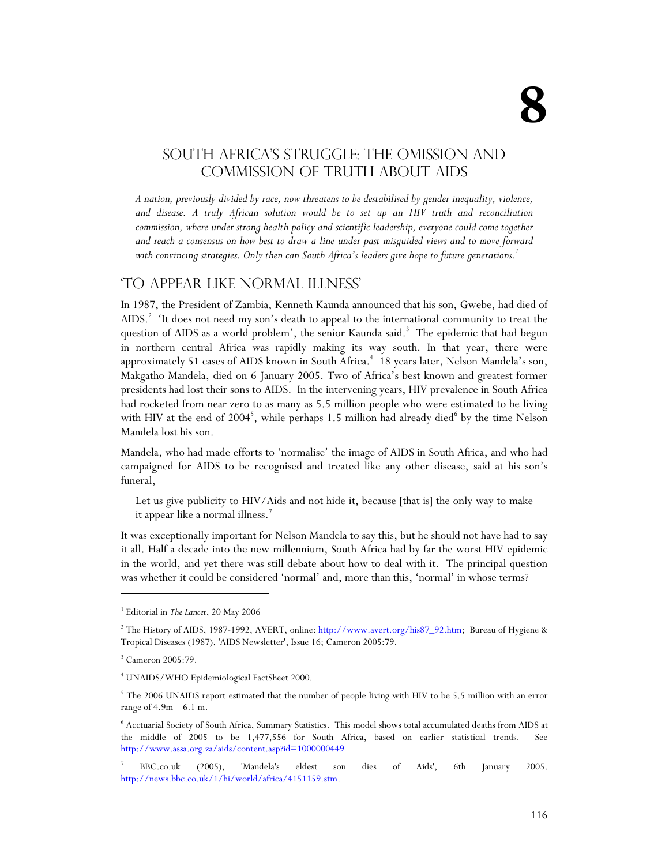# South Africa's Struggle: the omission and commission of truth about aids

*A nation, previously divided by race, now threatens to be destabilised by gender inequality, violence, and disease. A truly African solution would be to set up an HIV truth and reconciliation commission, where under strong health policy and scientific leadership, everyone could come together and reach a consensus on how best to draw a line under past misguided views and to move forward with convincing strategies. Only then can South Africa's leaders give hope to future generations.<sup>1</sup>*

### 'to Appear like normal illness'

In 1987, the President of Zambia, Kenneth Kaunda announced that his son, Gwebe, had died of AIDS.<sup>2</sup> 'It does not need my son's death to appeal to the international community to treat the question of AIDS as a world problem', the senior Kaunda said.<sup>3</sup> The epidemic that had begun in northern central Africa was rapidly making its way south. In that year, there were approximately 51 cases of AIDS known in South Africa.<sup>4</sup> 18 years later, Nelson Mandela's son, Makgatho Mandela, died on 6 January 2005. Two of Africa's best known and greatest former presidents had lost their sons to AIDS. In the intervening years, HIV prevalence in South Africa had rocketed from near zero to as many as 5.5 million people who were estimated to be living with HIV at the end of 2004<sup>5</sup>, while perhaps 1.5 million had already died<sup>6</sup> by the time Nelson Mandela lost his son.

Mandela, who had made efforts to 'normalise' the image of AIDS in South Africa, and who had campaigned for AIDS to be recognised and treated like any other disease, said at his son's funeral,

Let us give publicity to HIV/Aids and not hide it, because [that is] the only way to make it appear like a normal illness.<sup>7</sup>

It was exceptionally important for Nelson Mandela to say this, but he should not have had to say it all. Half a decade into the new millennium, South Africa had by far the worst HIV epidemic in the world, and yet there was still debate about how to deal with it. The principal question was whether it could be considered 'normal' and, more than this, 'normal' in whose terms?

<sup>1</sup> Editorial in *The Lancet*, 20 May 2006

<sup>&</sup>lt;sup>2</sup> The History of AIDS, 1987-1992, AVERT, online: http://www.avert.org/his87\_92.htm; Bureau of Hygiene & Tropical Diseases (1987), 'AIDS Newsletter', Issue 16; Cameron 2005:79.

<sup>3</sup> Cameron 2005:79.

<sup>4</sup> UNAIDS/WHO Epidemiological FactSheet 2000.

<sup>&</sup>lt;sup>5</sup> The 2006 UNAIDS report estimated that the number of people living with HIV to be 5.5 million with an error range of 4.9m – 6.1 m.

<sup>6</sup> Acctuarial Society of South Africa, Summary Statistics. This model shows total accumulated deaths from AIDS at the middle of 2005 to be 1,477,556 for South Africa, based on earlier statistical trends. See http://www.assa.org.za/aids/content.asp?id=1000000449

<sup>7</sup> BBC.co.uk (2005), 'Mandela's eldest son dies of Aids', 6th January 2005. http://news.bbc.co.uk/1/hi/world/africa/4151159.stm.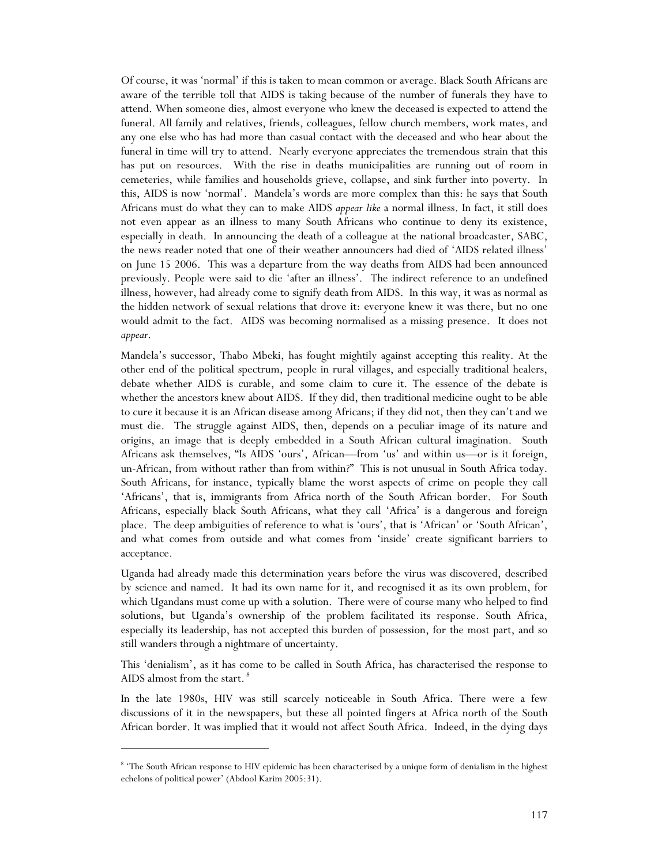Of course, it was 'normal' if this is taken to mean common or average. Black South Africans are aware of the terrible toll that AIDS is taking because of the number of funerals they have to attend. When someone dies, almost everyone who knew the deceased is expected to attend the funeral. All family and relatives, friends, colleagues, fellow church members, work mates, and any one else who has had more than casual contact with the deceased and who hear about the funeral in time will try to attend. Nearly everyone appreciates the tremendous strain that this has put on resources. With the rise in deaths municipalities are running out of room in cemeteries, while families and households grieve, collapse, and sink further into poverty. In this, AIDS is now 'normal'. Mandela's words are more complex than this: he says that South Africans must do what they can to make AIDS *appear like* a normal illness. In fact, it still does not even appear as an illness to many South Africans who continue to deny its existence, especially in death. In announcing the death of a colleague at the national broadcaster, SABC, the news reader noted that one of their weather announcers had died of 'AIDS related illness' on June 15 2006. This was a departure from the way deaths from AIDS had been announced previously. People were said to die 'after an illness'. The indirect reference to an undefined illness, however, had already come to signify death from AIDS. In this way, it was as normal as the hidden network of sexual relations that drove it: everyone knew it was there, but no one would admit to the fact. AIDS was becoming normalised as a missing presence. It does not *appear*.

Mandela's successor, Thabo Mbeki, has fought mightily against accepting this reality. At the other end of the political spectrum, people in rural villages, and especially traditional healers, debate whether AIDS is curable, and some claim to cure it. The essence of the debate is whether the ancestors knew about AIDS. If they did, then traditional medicine ought to be able to cure it because it is an African disease among Africans; if they did not, then they can't and we must die. The struggle against AIDS, then, depends on a peculiar image of its nature and origins, an image that is deeply embedded in a South African cultural imagination. South Africans ask themselves, "Is AIDS 'ours', African—from 'us' and within us—or is it foreign, un-African, from without rather than from within?" This is not unusual in South Africa today. South Africans, for instance, typically blame the worst aspects of crime on people they call 'Africans', that is, immigrants from Africa north of the South African border. For South Africans, especially black South Africans, what they call 'Africa' is a dangerous and foreign place. The deep ambiguities of reference to what is 'ours', that is 'African' or 'South African', and what comes from outside and what comes from 'inside' create significant barriers to acceptance.

Uganda had already made this determination years before the virus was discovered, described by science and named. It had its own name for it, and recognised it as its own problem, for which Ugandans must come up with a solution. There were of course many who helped to find solutions, but Uganda's ownership of the problem facilitated its response. South Africa, especially its leadership, has not accepted this burden of possession, for the most part, and so still wanders through a nightmare of uncertainty.

This 'denialism', as it has come to be called in South Africa, has characterised the response to AIDS almost from the start. 8

In the late 1980s, HIV was still scarcely noticeable in South Africa. There were a few discussions of it in the newspapers, but these all pointed fingers at Africa north of the South African border. It was implied that it would not affect South Africa. Indeed, in the dying days

<sup>&</sup>lt;sup>8</sup> 'The South African response to HIV epidemic has been characterised by a unique form of denialism in the highest echelons of political power' (Abdool Karim 2005:31).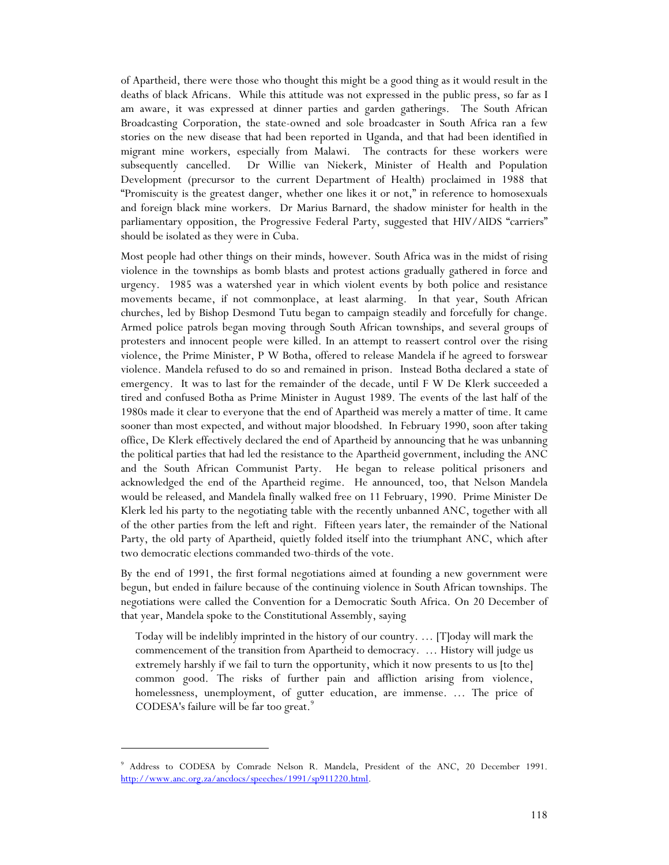of Apartheid, there were those who thought this might be a good thing as it would result in the deaths of black Africans. While this attitude was not expressed in the public press, so far as I am aware, it was expressed at dinner parties and garden gatherings. The South African Broadcasting Corporation, the state-owned and sole broadcaster in South Africa ran a few stories on the new disease that had been reported in Uganda, and that had been identified in migrant mine workers, especially from Malawi. The contracts for these workers were subsequently cancelled. Dr Willie van Niekerk, Minister of Health and Population Development (precursor to the current Department of Health) proclaimed in 1988 that "Promiscuity is the greatest danger, whether one likes it or not," in reference to homosexuals and foreign black mine workers. Dr Marius Barnard, the shadow minister for health in the parliamentary opposition, the Progressive Federal Party, suggested that HIV/AIDS "carriers" should be isolated as they were in Cuba.

Most people had other things on their minds, however. South Africa was in the midst of rising violence in the townships as bomb blasts and protest actions gradually gathered in force and urgency. 1985 was a watershed year in which violent events by both police and resistance movements became, if not commonplace, at least alarming. In that year, South African churches, led by Bishop Desmond Tutu began to campaign steadily and forcefully for change. Armed police patrols began moving through South African townships, and several groups of protesters and innocent people were killed. In an attempt to reassert control over the rising violence, the Prime Minister, P W Botha, offered to release Mandela if he agreed to forswear violence. Mandela refused to do so and remained in prison. Instead Botha declared a state of emergency. It was to last for the remainder of the decade, until F W De Klerk succeeded a tired and confused Botha as Prime Minister in August 1989. The events of the last half of the 1980s made it clear to everyone that the end of Apartheid was merely a matter of time. It came sooner than most expected, and without major bloodshed. In February 1990, soon after taking office, De Klerk effectively declared the end of Apartheid by announcing that he was unbanning the political parties that had led the resistance to the Apartheid government, including the ANC and the South African Communist Party. He began to release political prisoners and acknowledged the end of the Apartheid regime. He announced, too, that Nelson Mandela would be released, and Mandela finally walked free on 11 February, 1990. Prime Minister De Klerk led his party to the negotiating table with the recently unbanned ANC, together with all of the other parties from the left and right. Fifteen years later, the remainder of the National Party, the old party of Apartheid, quietly folded itself into the triumphant ANC, which after two democratic elections commanded two-thirds of the vote.

By the end of 1991, the first formal negotiations aimed at founding a new government were begun, but ended in failure because of the continuing violence in South African townships. The negotiations were called the Convention for a Democratic South Africa. On 20 December of that year, Mandela spoke to the Constitutional Assembly, saying

Today will be indelibly imprinted in the history of our country. … [T]oday will mark the commencement of the transition from Apartheid to democracy. … History will judge us extremely harshly if we fail to turn the opportunity, which it now presents to us [to the] common good. The risks of further pain and affliction arising from violence, homelessness, unemployment, of gutter education, are immense. … The price of CODESA's failure will be far too great.<sup>9</sup>

<sup>9</sup> Address to CODESA by Comrade Nelson R. Mandela, President of the ANC, 20 December 1991. http://www.anc.org.za/ancdocs/speeches/1991/sp911220.html.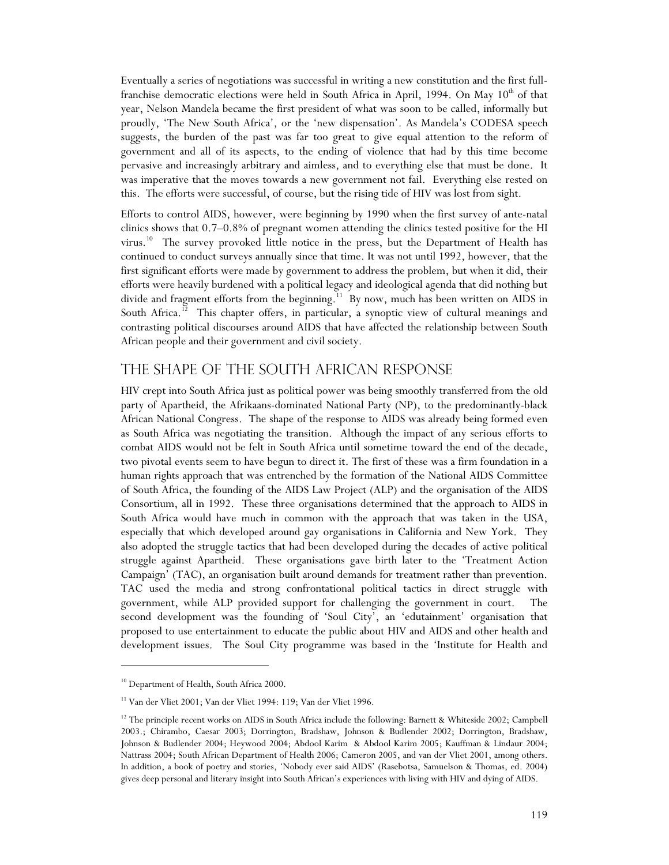Eventually a series of negotiations was successful in writing a new constitution and the first fullfranchise democratic elections were held in South Africa in April, 1994. On May  $10<sup>th</sup>$  of that year, Nelson Mandela became the first president of what was soon to be called, informally but proudly, 'The New South Africa', or the 'new dispensation'. As Mandela's CODESA speech suggests, the burden of the past was far too great to give equal attention to the reform of government and all of its aspects, to the ending of violence that had by this time become pervasive and increasingly arbitrary and aimless, and to everything else that must be done. It was imperative that the moves towards a new government not fail. Everything else rested on this. The efforts were successful, of course, but the rising tide of HIV was lost from sight.

Efforts to control AIDS, however, were beginning by 1990 when the first survey of ante-natal clinics shows that 0.7–0.8% of pregnant women attending the clinics tested positive for the HI virus.<sup>10</sup> The survey provoked little notice in the press, but the Department of Health has continued to conduct surveys annually since that time. It was not until 1992, however, that the first significant efforts were made by government to address the problem, but when it did, their efforts were heavily burdened with a political legacy and ideological agenda that did nothing but divide and fragment efforts from the beginning.<sup>11</sup> By now, much has been written on AIDS in South Africa.<sup>12</sup> This chapter offers, in particular, a synoptic view of cultural meanings and contrasting political discourses around AIDS that have affected the relationship between South African people and their government and civil society.

### The shape of the South African response

HIV crept into South Africa just as political power was being smoothly transferred from the old party of Apartheid, the Afrikaans-dominated National Party (NP), to the predominantly-black African National Congress. The shape of the response to AIDS was already being formed even as South Africa was negotiating the transition. Although the impact of any serious efforts to combat AIDS would not be felt in South Africa until sometime toward the end of the decade, two pivotal events seem to have begun to direct it. The first of these was a firm foundation in a human rights approach that was entrenched by the formation of the National AIDS Committee of South Africa, the founding of the AIDS Law Project (ALP) and the organisation of the AIDS Consortium, all in 1992. These three organisations determined that the approach to AIDS in South Africa would have much in common with the approach that was taken in the USA, especially that which developed around gay organisations in California and New York. They also adopted the struggle tactics that had been developed during the decades of active political struggle against Apartheid. These organisations gave birth later to the 'Treatment Action Campaign' (TAC), an organisation built around demands for treatment rather than prevention. TAC used the media and strong confrontational political tactics in direct struggle with government, while ALP provided support for challenging the government in court. The second development was the founding of 'Soul City', an 'edutainment' organisation that proposed to use entertainment to educate the public about HIV and AIDS and other health and development issues. The Soul City programme was based in the 'Institute for Health and

<sup>&</sup>lt;sup>10</sup> Department of Health, South Africa 2000.

<sup>&</sup>lt;sup>11</sup> Van der Vliet 2001; Van der Vliet 1994: 119; Van der Vliet 1996.

<sup>&</sup>lt;sup>12</sup> The principle recent works on AIDS in South Africa include the following: Barnett & Whiteside 2002; Campbell 2003.; Chirambo, Caesar 2003; Dorrington, Bradshaw, Johnson & Budlender 2002; Dorrington, Bradshaw, Johnson & Budlender 2004; Heywood 2004; Abdool Karim & Abdool Karim 2005; Kauffman & Lindaur 2004; Nattrass 2004; South African Department of Health 2006; Cameron 2005, and van der Vliet 2001, among others. In addition, a book of poetry and stories, 'Nobody ever said AIDS' (Rasebotsa, Samuelson & Thomas, ed. 2004) gives deep personal and literary insight into South African's experiences with living with HIV and dying of AIDS.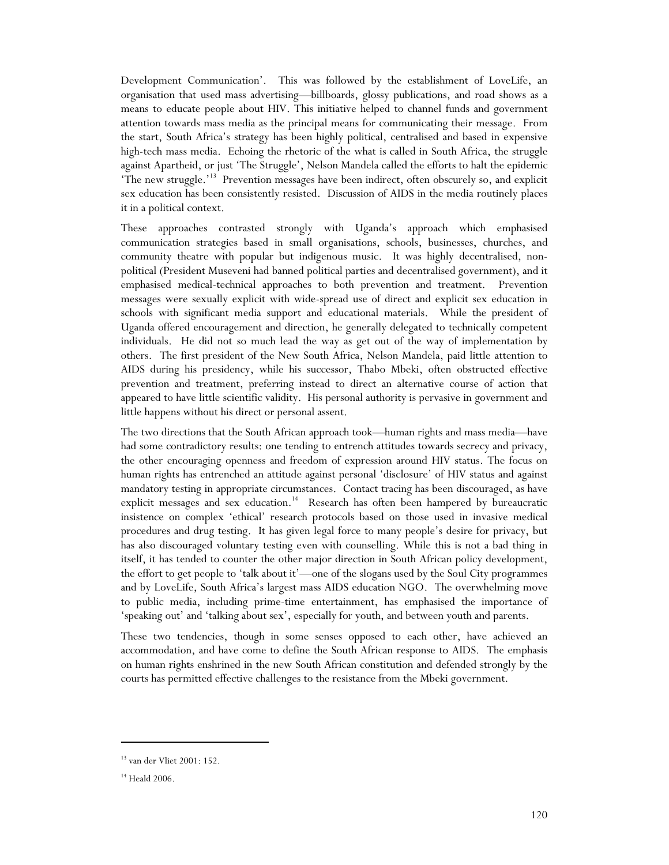Development Communication'. This was followed by the establishment of LoveLife, an organisation that used mass advertising—billboards, glossy publications, and road shows as a means to educate people about HIV. This initiative helped to channel funds and government attention towards mass media as the principal means for communicating their message. From the start, South Africa's strategy has been highly political, centralised and based in expensive high-tech mass media. Echoing the rhetoric of the what is called in South Africa, the struggle against Apartheid, or just 'The Struggle', Nelson Mandela called the efforts to halt the epidemic 'The new struggle.'13 Prevention messages have been indirect, often obscurely so, and explicit sex education has been consistently resisted. Discussion of AIDS in the media routinely places it in a political context.

These approaches contrasted strongly with Uganda's approach which emphasised communication strategies based in small organisations, schools, businesses, churches, and community theatre with popular but indigenous music. It was highly decentralised, nonpolitical (President Museveni had banned political parties and decentralised government), and it emphasised medical-technical approaches to both prevention and treatment. Prevention messages were sexually explicit with wide-spread use of direct and explicit sex education in schools with significant media support and educational materials. While the president of Uganda offered encouragement and direction, he generally delegated to technically competent individuals. He did not so much lead the way as get out of the way of implementation by others. The first president of the New South Africa, Nelson Mandela, paid little attention to AIDS during his presidency, while his successor, Thabo Mbeki, often obstructed effective prevention and treatment, preferring instead to direct an alternative course of action that appeared to have little scientific validity. His personal authority is pervasive in government and little happens without his direct or personal assent.

The two directions that the South African approach took—human rights and mass media—have had some contradictory results: one tending to entrench attitudes towards secrecy and privacy, the other encouraging openness and freedom of expression around HIV status. The focus on human rights has entrenched an attitude against personal 'disclosure' of HIV status and against mandatory testing in appropriate circumstances. Contact tracing has been discouraged, as have explicit messages and sex education.<sup>14</sup> Research has often been hampered by bureaucratic insistence on complex 'ethical' research protocols based on those used in invasive medical procedures and drug testing. It has given legal force to many people's desire for privacy, but has also discouraged voluntary testing even with counselling. While this is not a bad thing in itself, it has tended to counter the other major direction in South African policy development, the effort to get people to 'talk about it'—one of the slogans used by the Soul City programmes and by LoveLife, South Africa's largest mass AIDS education NGO. The overwhelming move to public media, including prime-time entertainment, has emphasised the importance of 'speaking out' and 'talking about sex', especially for youth, and between youth and parents.

These two tendencies, though in some senses opposed to each other, have achieved an accommodation, and have come to define the South African response to AIDS. The emphasis on human rights enshrined in the new South African constitution and defended strongly by the courts has permitted effective challenges to the resistance from the Mbeki government.

<sup>13</sup> van der Vliet 2001: 152.

<sup>&</sup>lt;sup>14</sup> Heald 2006.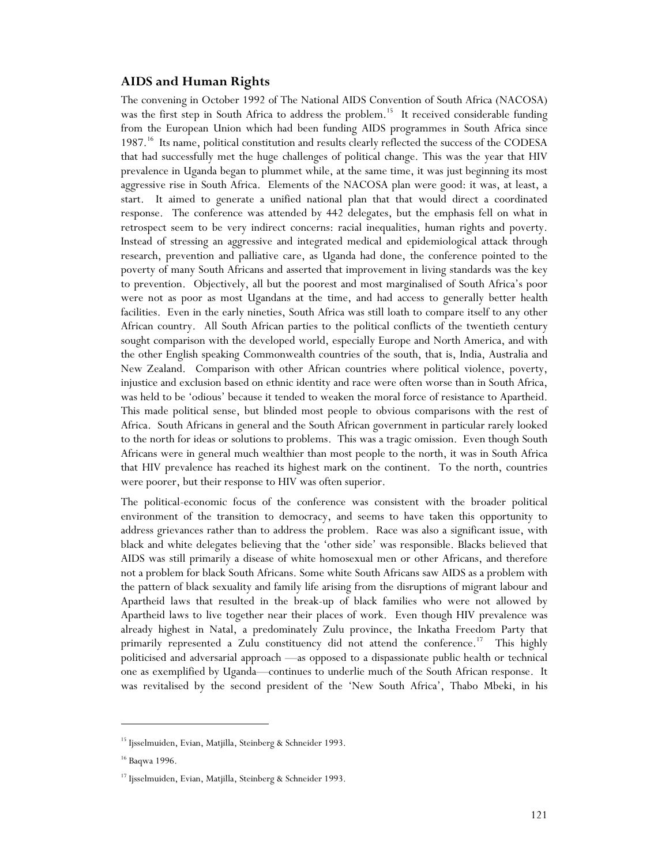#### **AIDS and Human Rights**

The convening in October 1992 of The National AIDS Convention of South Africa (NACOSA) was the first step in South Africa to address the problem.<sup>15</sup> It received considerable funding from the European Union which had been funding AIDS programmes in South Africa since 1987.<sup>16</sup> Its name, political constitution and results clearly reflected the success of the CODESA that had successfully met the huge challenges of political change. This was the year that HIV prevalence in Uganda began to plummet while, at the same time, it was just beginning its most aggressive rise in South Africa. Elements of the NACOSA plan were good: it was, at least, a start. It aimed to generate a unified national plan that that would direct a coordinated response. The conference was attended by 442 delegates, but the emphasis fell on what in retrospect seem to be very indirect concerns: racial inequalities, human rights and poverty. Instead of stressing an aggressive and integrated medical and epidemiological attack through research, prevention and palliative care, as Uganda had done, the conference pointed to the poverty of many South Africans and asserted that improvement in living standards was the key to prevention. Objectively, all but the poorest and most marginalised of South Africa's poor were not as poor as most Ugandans at the time, and had access to generally better health facilities. Even in the early nineties, South Africa was still loath to compare itself to any other African country. All South African parties to the political conflicts of the twentieth century sought comparison with the developed world, especially Europe and North America, and with the other English speaking Commonwealth countries of the south, that is, India, Australia and New Zealand. Comparison with other African countries where political violence, poverty, injustice and exclusion based on ethnic identity and race were often worse than in South Africa, was held to be 'odious' because it tended to weaken the moral force of resistance to Apartheid. This made political sense, but blinded most people to obvious comparisons with the rest of Africa. South Africans in general and the South African government in particular rarely looked to the north for ideas or solutions to problems. This was a tragic omission. Even though South Africans were in general much wealthier than most people to the north, it was in South Africa that HIV prevalence has reached its highest mark on the continent. To the north, countries were poorer, but their response to HIV was often superior.

The political-economic focus of the conference was consistent with the broader political environment of the transition to democracy, and seems to have taken this opportunity to address grievances rather than to address the problem. Race was also a significant issue, with black and white delegates believing that the 'other side' was responsible. Blacks believed that AIDS was still primarily a disease of white homosexual men or other Africans, and therefore not a problem for black South Africans. Some white South Africans saw AIDS as a problem with the pattern of black sexuality and family life arising from the disruptions of migrant labour and Apartheid laws that resulted in the break-up of black families who were not allowed by Apartheid laws to live together near their places of work. Even though HIV prevalence was already highest in Natal, a predominately Zulu province, the Inkatha Freedom Party that primarily represented a Zulu constituency did not attend the conference.<sup>17</sup> This highly politicised and adversarial approach —as opposed to a dispassionate public health or technical one as exemplified by Uganda—continues to underlie much of the South African response. It was revitalised by the second president of the 'New South Africa', Thabo Mbeki, in his

<sup>&</sup>lt;sup>15</sup> Ijsselmuiden, Evian, Matjilla, Steinberg & Schneider 1993.

<sup>16</sup> Baqwa 1996.

<sup>&</sup>lt;sup>17</sup> Ijsselmuiden, Evian, Matjilla, Steinberg & Schneider 1993.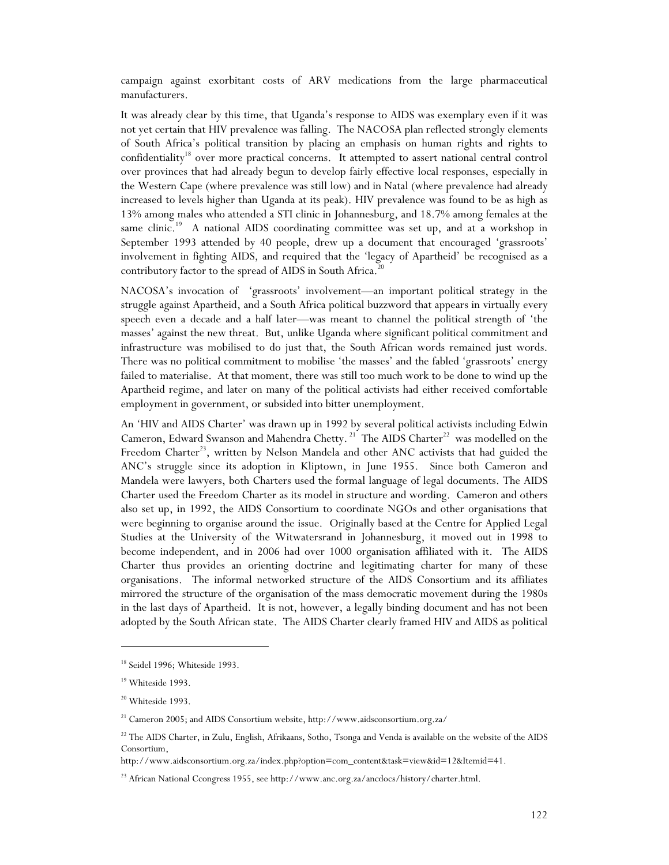campaign against exorbitant costs of ARV medications from the large pharmaceutical manufacturers.

It was already clear by this time, that Uganda's response to AIDS was exemplary even if it was not yet certain that HIV prevalence was falling. The NACOSA plan reflected strongly elements of South Africa's political transition by placing an emphasis on human rights and rights to confidentiality<sup>18</sup> over more practical concerns. It attempted to assert national central control over provinces that had already begun to develop fairly effective local responses, especially in the Western Cape (where prevalence was still low) and in Natal (where prevalence had already increased to levels higher than Uganda at its peak). HIV prevalence was found to be as high as 13% among males who attended a STI clinic in Johannesburg, and 18.7% among females at the same clinic.<sup>19</sup> A national AIDS coordinating committee was set up, and at a workshop in September 1993 attended by 40 people, drew up a document that encouraged 'grassroots' involvement in fighting AIDS, and required that the 'legacy of Apartheid' be recognised as a contributory factor to the spread of AIDS in South Africa.<sup>20</sup>

NACOSA's invocation of 'grassroots' involvement—an important political strategy in the struggle against Apartheid, and a South Africa political buzzword that appears in virtually every speech even a decade and a half later—was meant to channel the political strength of 'the masses' against the new threat. But, unlike Uganda where significant political commitment and infrastructure was mobilised to do just that, the South African words remained just words. There was no political commitment to mobilise 'the masses' and the fabled 'grassroots' energy failed to materialise. At that moment, there was still too much work to be done to wind up the Apartheid regime, and later on many of the political activists had either received comfortable employment in government, or subsided into bitter unemployment.

An 'HIV and AIDS Charter' was drawn up in 1992 by several political activists including Edwin Cameron, Edward Swanson and Mahendra Chetty.<sup>21</sup> The AIDS Charter<sup>22</sup> was modelled on the Freedom Charter<sup>23</sup>, written by Nelson Mandela and other ANC activists that had guided the ANC's struggle since its adoption in Kliptown, in June 1955. Since both Cameron and Mandela were lawyers, both Charters used the formal language of legal documents. The AIDS Charter used the Freedom Charter as its model in structure and wording. Cameron and others also set up, in 1992, the AIDS Consortium to coordinate NGOs and other organisations that were beginning to organise around the issue. Originally based at the Centre for Applied Legal Studies at the University of the Witwatersrand in Johannesburg, it moved out in 1998 to become independent, and in 2006 had over 1000 organisation affiliated with it. The AIDS Charter thus provides an orienting doctrine and legitimating charter for many of these organisations. The informal networked structure of the AIDS Consortium and its affiliates mirrored the structure of the organisation of the mass democratic movement during the 1980s in the last days of Apartheid. It is not, however, a legally binding document and has not been adopted by the South African state. The AIDS Charter clearly framed HIV and AIDS as political

<sup>18</sup> Seidel 1996; Whiteside 1993.

<sup>&</sup>lt;sup>19</sup> Whiteside 1993.

 $20$  Whiteside 1993.

<sup>21</sup> Cameron 2005; and AIDS Consortium website, http://www.aidsconsortium.org.za/

<sup>&</sup>lt;sup>22</sup> The AIDS Charter, in Zulu, English, Afrikaans, Sotho, Tsonga and Venda is available on the website of the AIDS Consortium,

http://www.aidsconsortium.org.za/index.php?option=com\_content&task=view&id=12&Itemid=41.

<sup>&</sup>lt;sup>23</sup> African National Ccongress 1955, see http://www.anc.org.za/ancdocs/history/charter.html.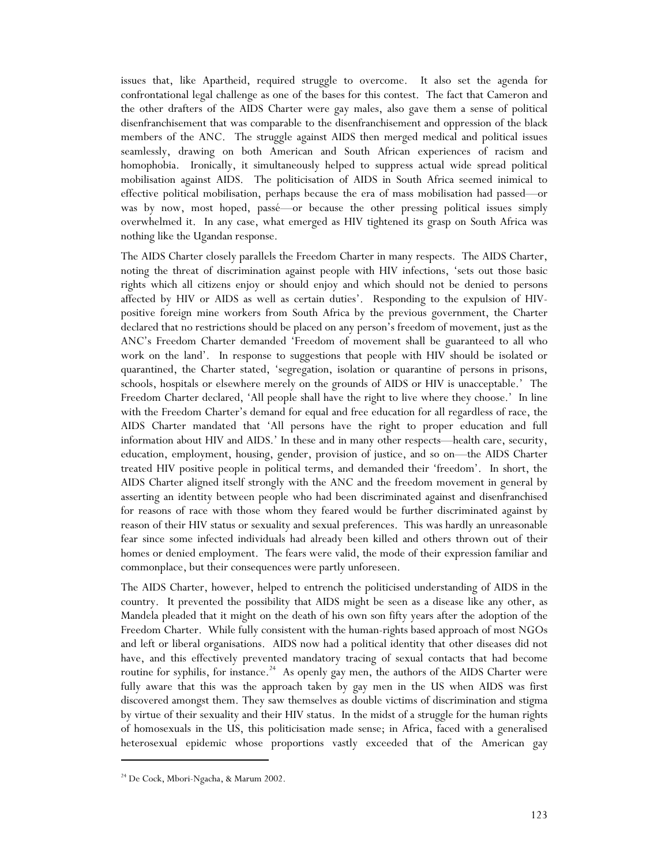issues that, like Apartheid, required struggle to overcome. It also set the agenda for confrontational legal challenge as one of the bases for this contest. The fact that Cameron and the other drafters of the AIDS Charter were gay males, also gave them a sense of political disenfranchisement that was comparable to the disenfranchisement and oppression of the black members of the ANC. The struggle against AIDS then merged medical and political issues seamlessly, drawing on both American and South African experiences of racism and homophobia. Ironically, it simultaneously helped to suppress actual wide spread political mobilisation against AIDS. The politicisation of AIDS in South Africa seemed inimical to effective political mobilisation, perhaps because the era of mass mobilisation had passed—or was by now, most hoped, passé—or because the other pressing political issues simply overwhelmed it. In any case, what emerged as HIV tightened its grasp on South Africa was nothing like the Ugandan response.

The AIDS Charter closely parallels the Freedom Charter in many respects. The AIDS Charter, noting the threat of discrimination against people with HIV infections, 'sets out those basic rights which all citizens enjoy or should enjoy and which should not be denied to persons affected by HIV or AIDS as well as certain duties'. Responding to the expulsion of HIVpositive foreign mine workers from South Africa by the previous government, the Charter declared that no restrictions should be placed on any person's freedom of movement, just as the ANC's Freedom Charter demanded 'Freedom of movement shall be guaranteed to all who work on the land'. In response to suggestions that people with HIV should be isolated or quarantined, the Charter stated, 'segregation, isolation or quarantine of persons in prisons, schools, hospitals or elsewhere merely on the grounds of AIDS or HIV is unacceptable.' The Freedom Charter declared, 'All people shall have the right to live where they choose.' In line with the Freedom Charter's demand for equal and free education for all regardless of race, the AIDS Charter mandated that 'All persons have the right to proper education and full information about HIV and AIDS.' In these and in many other respects—health care, security, education, employment, housing, gender, provision of justice, and so on—the AIDS Charter treated HIV positive people in political terms, and demanded their 'freedom'. In short, the AIDS Charter aligned itself strongly with the ANC and the freedom movement in general by asserting an identity between people who had been discriminated against and disenfranchised for reasons of race with those whom they feared would be further discriminated against by reason of their HIV status or sexuality and sexual preferences. This was hardly an unreasonable fear since some infected individuals had already been killed and others thrown out of their homes or denied employment. The fears were valid, the mode of their expression familiar and commonplace, but their consequences were partly unforeseen.

The AIDS Charter, however, helped to entrench the politicised understanding of AIDS in the country. It prevented the possibility that AIDS might be seen as a disease like any other, as Mandela pleaded that it might on the death of his own son fifty years after the adoption of the Freedom Charter. While fully consistent with the human-rights based approach of most NGOs and left or liberal organisations. AIDS now had a political identity that other diseases did not have, and this effectively prevented mandatory tracing of sexual contacts that had become routine for syphilis, for instance.<sup>24</sup> As openly gay men, the authors of the AIDS Charter were fully aware that this was the approach taken by gay men in the US when AIDS was first discovered amongst them. They saw themselves as double victims of discrimination and stigma by virtue of their sexuality and their HIV status. In the midst of a struggle for the human rights of homosexuals in the US, this politicisation made sense; in Africa, faced with a generalised heterosexual epidemic whose proportions vastly exceeded that of the American gay

<sup>24</sup> De Cock, Mbori-Ngacha, & Marum 2002.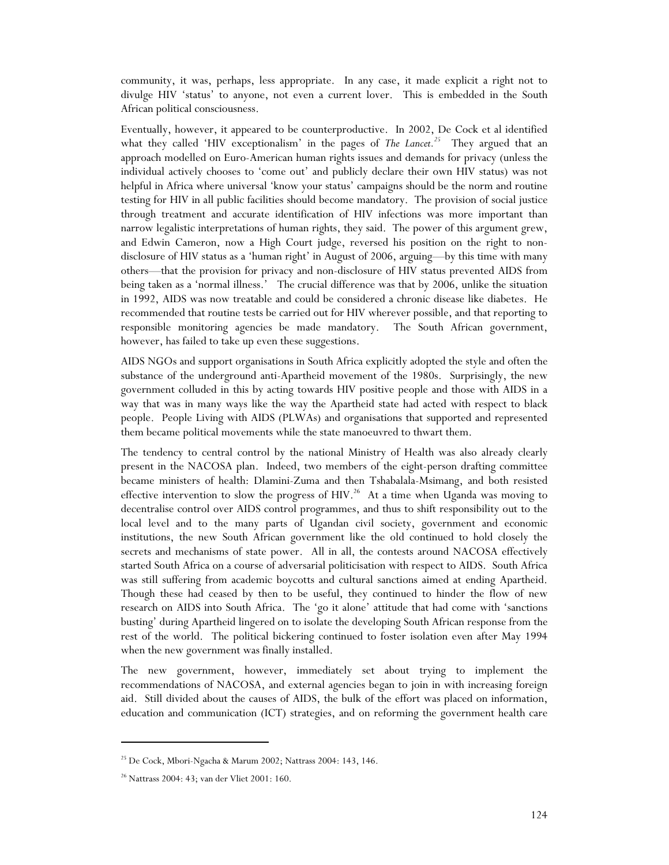community, it was, perhaps, less appropriate. In any case, it made explicit a right not to divulge HIV 'status' to anyone, not even a current lover. This is embedded in the South African political consciousness.

Eventually, however, it appeared to be counterproductive. In 2002, De Cock et al identified what they called 'HIV exceptionalism' in the pages of *The Lancet.<sup>25</sup>* They argued that an approach modelled on Euro-American human rights issues and demands for privacy (unless the individual actively chooses to 'come out' and publicly declare their own HIV status) was not helpful in Africa where universal 'know your status' campaigns should be the norm and routine testing for HIV in all public facilities should become mandatory. The provision of social justice through treatment and accurate identification of HIV infections was more important than narrow legalistic interpretations of human rights, they said. The power of this argument grew, and Edwin Cameron, now a High Court judge, reversed his position on the right to nondisclosure of HIV status as a 'human right' in August of 2006, arguing—by this time with many others—that the provision for privacy and non-disclosure of HIV status prevented AIDS from being taken as a 'normal illness.' The crucial difference was that by 2006, unlike the situation in 1992, AIDS was now treatable and could be considered a chronic disease like diabetes. He recommended that routine tests be carried out for HIV wherever possible, and that reporting to responsible monitoring agencies be made mandatory. The South African government, however, has failed to take up even these suggestions.

AIDS NGOs and support organisations in South Africa explicitly adopted the style and often the substance of the underground anti-Apartheid movement of the 1980s. Surprisingly, the new government colluded in this by acting towards HIV positive people and those with AIDS in a way that was in many ways like the way the Apartheid state had acted with respect to black people. People Living with AIDS (PLWAs) and organisations that supported and represented them became political movements while the state manoeuvred to thwart them.

The tendency to central control by the national Ministry of Health was also already clearly present in the NACOSA plan. Indeed, two members of the eight-person drafting committee became ministers of health: Dlamini-Zuma and then Tshabalala-Msimang, and both resisted effective intervention to slow the progress of HIV.<sup>26</sup> At a time when Uganda was moving to decentralise control over AIDS control programmes, and thus to shift responsibility out to the local level and to the many parts of Ugandan civil society, government and economic institutions, the new South African government like the old continued to hold closely the secrets and mechanisms of state power. All in all, the contests around NACOSA effectively started South Africa on a course of adversarial politicisation with respect to AIDS. South Africa was still suffering from academic boycotts and cultural sanctions aimed at ending Apartheid. Though these had ceased by then to be useful, they continued to hinder the flow of new research on AIDS into South Africa. The 'go it alone' attitude that had come with 'sanctions busting' during Apartheid lingered on to isolate the developing South African response from the rest of the world. The political bickering continued to foster isolation even after May 1994 when the new government was finally installed.

The new government, however, immediately set about trying to implement the recommendations of NACOSA, and external agencies began to join in with increasing foreign aid. Still divided about the causes of AIDS, the bulk of the effort was placed on information, education and communication (ICT) strategies, and on reforming the government health care

<sup>25</sup> De Cock, Mbori-Ngacha & Marum 2002; Nattrass 2004: 143, 146.

<sup>26</sup> Nattrass 2004: 43; van der Vliet 2001: 160.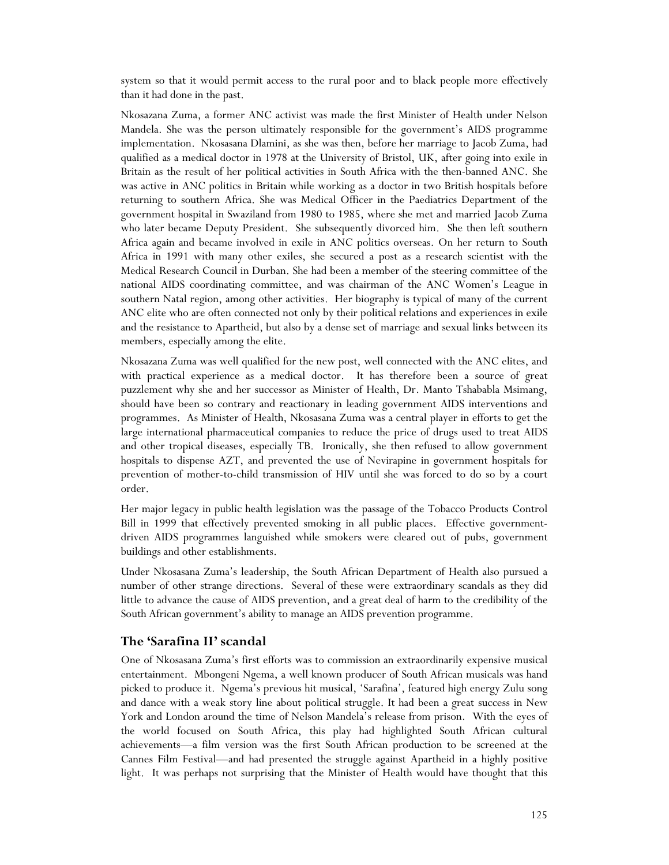system so that it would permit access to the rural poor and to black people more effectively than it had done in the past.

Nkosazana Zuma, a former ANC activist was made the first Minister of Health under Nelson Mandela. She was the person ultimately responsible for the government's AIDS programme implementation. Nkosasana Dlamini, as she was then, before her marriage to Jacob Zuma, had qualified as a medical doctor in 1978 at the University of Bristol, UK, after going into exile in Britain as the result of her political activities in South Africa with the then-banned ANC. She was active in ANC politics in Britain while working as a doctor in two British hospitals before returning to southern Africa. She was Medical Officer in the Paediatrics Department of the government hospital in Swaziland from 1980 to 1985, where she met and married Jacob Zuma who later became Deputy President. She subsequently divorced him. She then left southern Africa again and became involved in exile in ANC politics overseas. On her return to South Africa in 1991 with many other exiles, she secured a post as a research scientist with the Medical Research Council in Durban. She had been a member of the steering committee of the national AIDS coordinating committee, and was chairman of the ANC Women's League in southern Natal region, among other activities. Her biography is typical of many of the current ANC elite who are often connected not only by their political relations and experiences in exile and the resistance to Apartheid, but also by a dense set of marriage and sexual links between its members, especially among the elite.

Nkosazana Zuma was well qualified for the new post, well connected with the ANC elites, and with practical experience as a medical doctor. It has therefore been a source of great puzzlement why she and her successor as Minister of Health, Dr. Manto Tshababla Msimang, should have been so contrary and reactionary in leading government AIDS interventions and programmes. As Minister of Health, Nkosasana Zuma was a central player in efforts to get the large international pharmaceutical companies to reduce the price of drugs used to treat AIDS and other tropical diseases, especially TB. Ironically, she then refused to allow government hospitals to dispense AZT, and prevented the use of Nevirapine in government hospitals for prevention of mother-to-child transmission of HIV until she was forced to do so by a court order.

Her major legacy in public health legislation was the passage of the Tobacco Products Control Bill in 1999 that effectively prevented smoking in all public places. Effective governmentdriven AIDS programmes languished while smokers were cleared out of pubs, government buildings and other establishments.

Under Nkosasana Zuma's leadership, the South African Department of Health also pursued a number of other strange directions. Several of these were extraordinary scandals as they did little to advance the cause of AIDS prevention, and a great deal of harm to the credibility of the South African government's ability to manage an AIDS prevention programme.

### **The 'Sarafina II' scandal**

One of Nkosasana Zuma's first efforts was to commission an extraordinarily expensive musical entertainment. Mbongeni Ngema, a well known producer of South African musicals was hand picked to produce it. Ngema's previous hit musical, 'Sarafina', featured high energy Zulu song and dance with a weak story line about political struggle. It had been a great success in New York and London around the time of Nelson Mandela's release from prison. With the eyes of the world focused on South Africa, this play had highlighted South African cultural achievements—a film version was the first South African production to be screened at the Cannes Film Festival—and had presented the struggle against Apartheid in a highly positive light. It was perhaps not surprising that the Minister of Health would have thought that this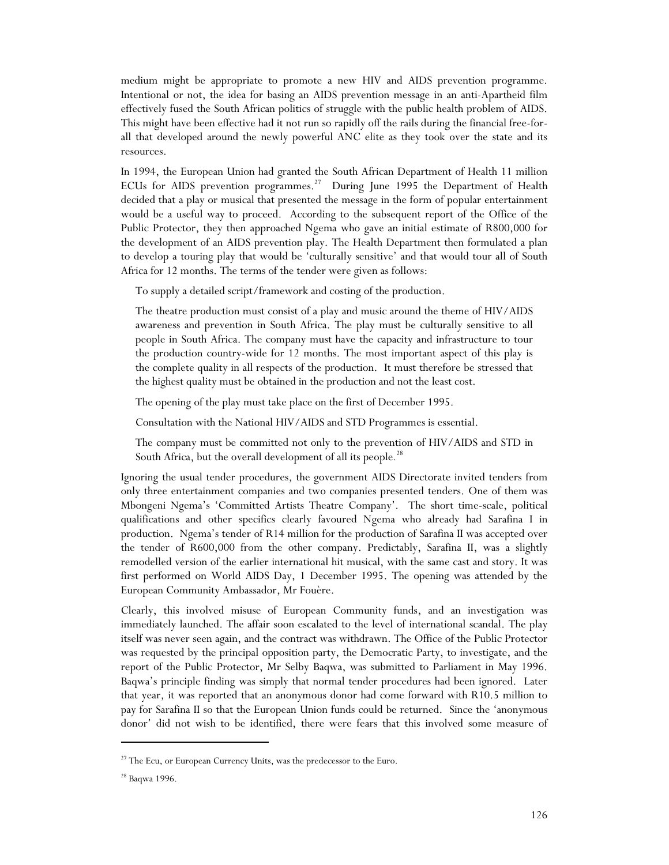medium might be appropriate to promote a new HIV and AIDS prevention programme. Intentional or not, the idea for basing an AIDS prevention message in an anti-Apartheid film effectively fused the South African politics of struggle with the public health problem of AIDS. This might have been effective had it not run so rapidly off the rails during the financial free-forall that developed around the newly powerful ANC elite as they took over the state and its resources.

In 1994, the European Union had granted the South African Department of Health 11 million ECUs for AIDS prevention programmes.<sup>27</sup> During June 1995 the Department of Health decided that a play or musical that presented the message in the form of popular entertainment would be a useful way to proceed. According to the subsequent report of the Office of the Public Protector, they then approached Ngema who gave an initial estimate of R800,000 for the development of an AIDS prevention play. The Health Department then formulated a plan to develop a touring play that would be 'culturally sensitive' and that would tour all of South Africa for 12 months. The terms of the tender were given as follows:

To supply a detailed script/framework and costing of the production.

The theatre production must consist of a play and music around the theme of HIV/AIDS awareness and prevention in South Africa. The play must be culturally sensitive to all people in South Africa. The company must have the capacity and infrastructure to tour the production country-wide for 12 months. The most important aspect of this play is the complete quality in all respects of the production. It must therefore be stressed that the highest quality must be obtained in the production and not the least cost.

The opening of the play must take place on the first of December 1995.

Consultation with the National HIV/AIDS and STD Programmes is essential.

The company must be committed not only to the prevention of HIV/AIDS and STD in South Africa, but the overall development of all its people*.* 28

Ignoring the usual tender procedures, the government AIDS Directorate invited tenders from only three entertainment companies and two companies presented tenders. One of them was Mbongeni Ngema's 'Committed Artists Theatre Company'. The short time-scale, political qualifications and other specifics clearly favoured Ngema who already had Sarafina I in production. Ngema's tender of R14 million for the production of Sarafina II was accepted over the tender of R600,000 from the other company. Predictably, Sarafina II, was a slightly remodelled version of the earlier international hit musical, with the same cast and story. It was first performed on World AIDS Day, 1 December 1995. The opening was attended by the European Community Ambassador, Mr Fouère.

Clearly, this involved misuse of European Community funds, and an investigation was immediately launched. The affair soon escalated to the level of international scandal. The play itself was never seen again, and the contract was withdrawn. The Office of the Public Protector was requested by the principal opposition party, the Democratic Party, to investigate, and the report of the Public Protector, Mr Selby Baqwa, was submitted to Parliament in May 1996. Baqwa's principle finding was simply that normal tender procedures had been ignored. Later that year, it was reported that an anonymous donor had come forward with R10.5 million to pay for Sarafina II so that the European Union funds could be returned. Since the 'anonymous donor' did not wish to be identified, there were fears that this involved some measure of

<sup>&</sup>lt;sup>27</sup> The Ecu, or European Currency Units, was the predecessor to the Euro.

<sup>28</sup> Baqwa 1996.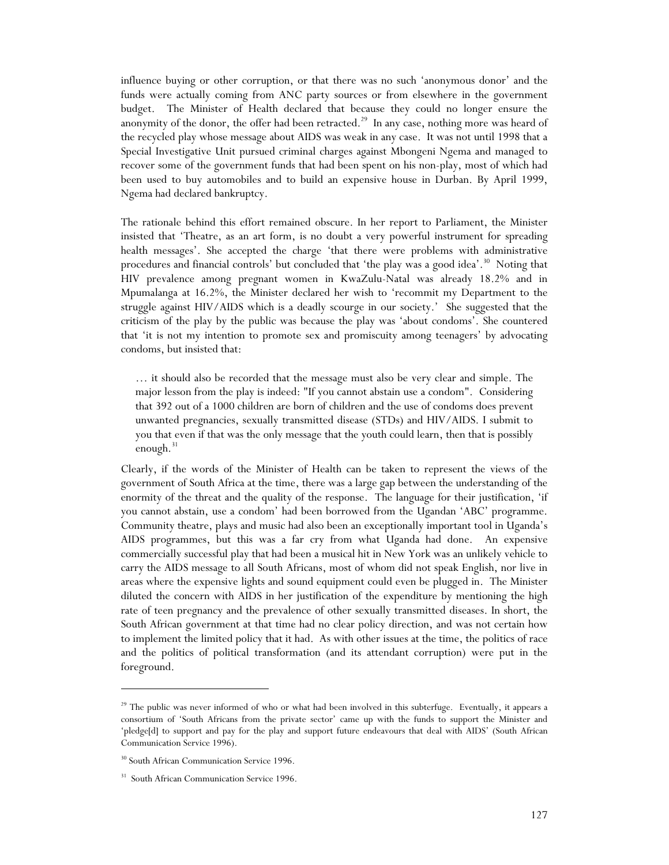influence buying or other corruption, or that there was no such 'anonymous donor' and the funds were actually coming from ANC party sources or from elsewhere in the government budget. The Minister of Health declared that because they could no longer ensure the anonymity of the donor, the offer had been retracted.<sup>29</sup> In any case, nothing more was heard of the recycled play whose message about AIDS was weak in any case. It was not until 1998 that a Special Investigative Unit pursued criminal charges against Mbongeni Ngema and managed to recover some of the government funds that had been spent on his non-play, most of which had been used to buy automobiles and to build an expensive house in Durban. By April 1999, Ngema had declared bankruptcy.

The rationale behind this effort remained obscure. In her report to Parliament, the Minister insisted that 'Theatre, as an art form, is no doubt a very powerful instrument for spreading health messages'. She accepted the charge 'that there were problems with administrative procedures and financial controls' but concluded that 'the play was a good idea'.<sup>30</sup> Noting that HIV prevalence among pregnant women in KwaZulu-Natal was already 18.2% and in Mpumalanga at 16.2%, the Minister declared her wish to 'recommit my Department to the struggle against HIV/AIDS which is a deadly scourge in our society.' She suggested that the criticism of the play by the public was because the play was 'about condoms'. She countered that 'it is not my intention to promote sex and promiscuity among teenagers' by advocating condoms, but insisted that:

… it should also be recorded that the message must also be very clear and simple. The major lesson from the play is indeed: "If you cannot abstain use a condom". Considering that 392 out of a 1000 children are born of children and the use of condoms does prevent unwanted pregnancies, sexually transmitted disease (STDs) and HIV/AIDS. I submit to you that even if that was the only message that the youth could learn, then that is possibly enough. $31$ 

Clearly, if the words of the Minister of Health can be taken to represent the views of the government of South Africa at the time, there was a large gap between the understanding of the enormity of the threat and the quality of the response. The language for their justification, 'if you cannot abstain, use a condom' had been borrowed from the Ugandan 'ABC' programme. Community theatre, plays and music had also been an exceptionally important tool in Uganda's AIDS programmes, but this was a far cry from what Uganda had done. An expensive commercially successful play that had been a musical hit in New York was an unlikely vehicle to carry the AIDS message to all South Africans, most of whom did not speak English, nor live in areas where the expensive lights and sound equipment could even be plugged in. The Minister diluted the concern with AIDS in her justification of the expenditure by mentioning the high rate of teen pregnancy and the prevalence of other sexually transmitted diseases. In short, the South African government at that time had no clear policy direction, and was not certain how to implement the limited policy that it had. As with other issues at the time, the politics of race and the politics of political transformation (and its attendant corruption) were put in the foreground.

<sup>&</sup>lt;sup>29</sup> The public was never informed of who or what had been involved in this subterfuge. Eventually, it appears a consortium of 'South Africans from the private sector' came up with the funds to support the Minister and 'pledge[d] to support and pay for the play and support future endeavours that deal with AIDS' (South African Communication Service 1996).

<sup>&</sup>lt;sup>30</sup> South African Communication Service 1996.

<sup>&</sup>lt;sup>31</sup> South African Communication Service 1996.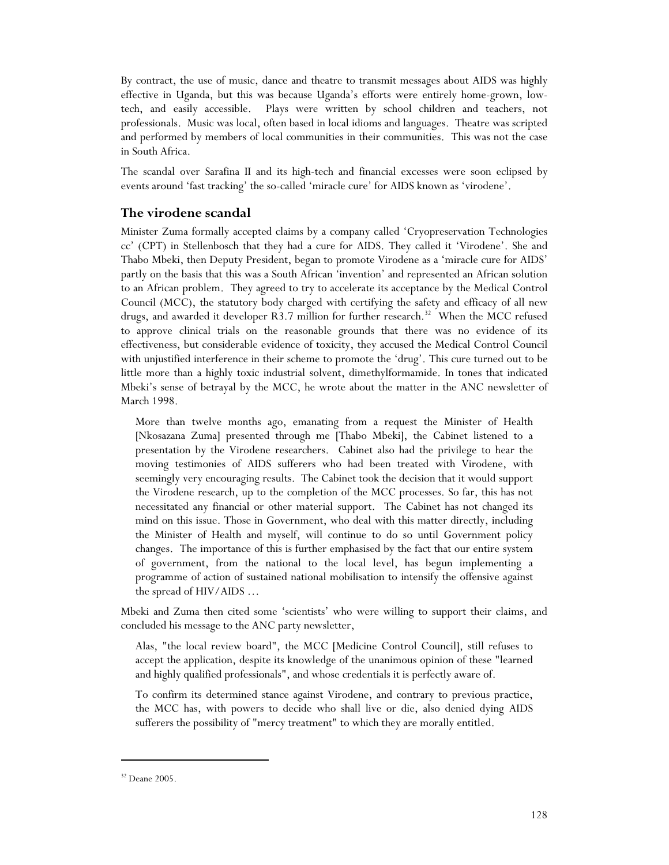By contract, the use of music, dance and theatre to transmit messages about AIDS was highly effective in Uganda, but this was because Uganda's efforts were entirely home-grown, lowtech, and easily accessible. Plays were written by school children and teachers, not professionals. Music was local, often based in local idioms and languages. Theatre was scripted and performed by members of local communities in their communities. This was not the case in South Africa.

The scandal over Sarafina II and its high-tech and financial excesses were soon eclipsed by events around 'fast tracking' the so-called 'miracle cure' for AIDS known as 'virodene'.

### **The virodene scandal**

Minister Zuma formally accepted claims by a company called 'Cryopreservation Technologies cc' (CPT) in Stellenbosch that they had a cure for AIDS. They called it 'Virodene'. She and Thabo Mbeki, then Deputy President, began to promote Virodene as a 'miracle cure for AIDS' partly on the basis that this was a South African 'invention' and represented an African solution to an African problem. They agreed to try to accelerate its acceptance by the Medical Control Council (MCC), the statutory body charged with certifying the safety and efficacy of all new drugs, and awarded it developer R3.7 million for further research.<sup>32</sup> When the MCC refused to approve clinical trials on the reasonable grounds that there was no evidence of its effectiveness, but considerable evidence of toxicity, they accused the Medical Control Council with unjustified interference in their scheme to promote the 'drug'. This cure turned out to be little more than a highly toxic industrial solvent, dimethylformamide. In tones that indicated Mbeki's sense of betrayal by the MCC, he wrote about the matter in the ANC newsletter of March 1998.

More than twelve months ago, emanating from a request the Minister of Health [Nkosazana Zuma] presented through me [Thabo Mbeki], the Cabinet listened to a presentation by the Virodene researchers. Cabinet also had the privilege to hear the moving testimonies of AIDS sufferers who had been treated with Virodene, with seemingly very encouraging results. The Cabinet took the decision that it would support the Virodene research, up to the completion of the MCC processes. So far, this has not necessitated any financial or other material support. The Cabinet has not changed its mind on this issue. Those in Government, who deal with this matter directly, including the Minister of Health and myself, will continue to do so until Government policy changes. The importance of this is further emphasised by the fact that our entire system of government, from the national to the local level, has begun implementing a programme of action of sustained national mobilisation to intensify the offensive against the spread of HIV/AIDS …

Mbeki and Zuma then cited some 'scientists' who were willing to support their claims, and concluded his message to the ANC party newsletter,

Alas, "the local review board", the MCC [Medicine Control Council], still refuses to accept the application, despite its knowledge of the unanimous opinion of these "learned and highly qualified professionals", and whose credentials it is perfectly aware of.

To confirm its determined stance against Virodene, and contrary to previous practice, the MCC has, with powers to decide who shall live or die, also denied dying AIDS sufferers the possibility of "mercy treatment" to which they are morally entitled.

<sup>32</sup> Deane 2005.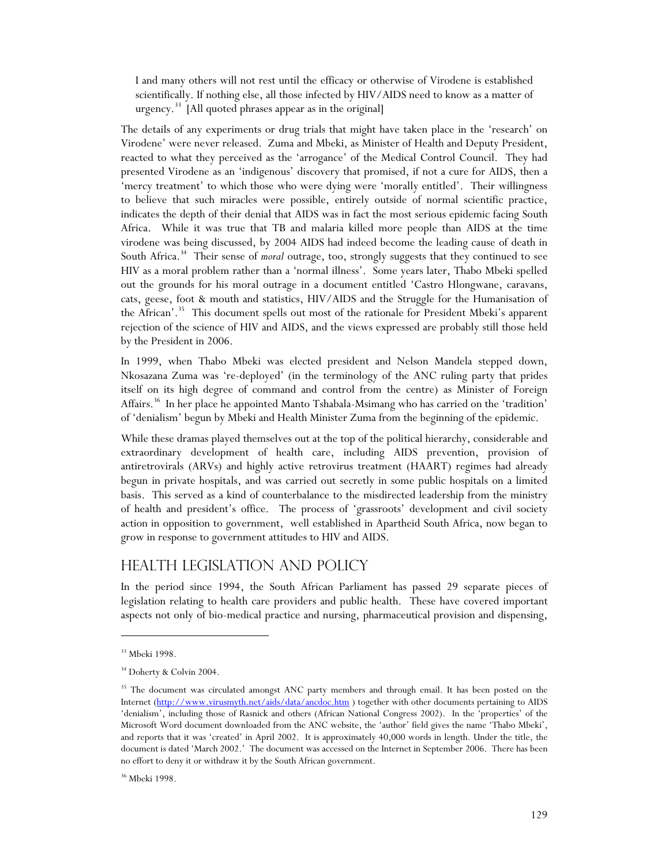I and many others will not rest until the efficacy or otherwise of Virodene is established scientifically. If nothing else, all those infected by HIV/AIDS need to know as a matter of urgency.<sup>33</sup> [All quoted phrases appear as in the original]

The details of any experiments or drug trials that might have taken place in the 'research' on Virodene' were never released. Zuma and Mbeki, as Minister of Health and Deputy President, reacted to what they perceived as the 'arrogance' of the Medical Control Council. They had presented Virodene as an 'indigenous' discovery that promised, if not a cure for AIDS, then a 'mercy treatment' to which those who were dying were 'morally entitled'. Their willingness to believe that such miracles were possible, entirely outside of normal scientific practice, indicates the depth of their denial that AIDS was in fact the most serious epidemic facing South Africa. While it was true that TB and malaria killed more people than AIDS at the time virodene was being discussed, by 2004 AIDS had indeed become the leading cause of death in South Africa.<sup>34</sup> Their sense of *moral* outrage, too, strongly suggests that they continued to see HIV as a moral problem rather than a 'normal illness'. Some years later, Thabo Mbeki spelled out the grounds for his moral outrage in a document entitled 'Castro Hlongwane, caravans, cats, geese, foot & mouth and statistics, HIV/AIDS and the Struggle for the Humanisation of the African'.<sup>35</sup> This document spells out most of the rationale for President Mbeki's apparent rejection of the science of HIV and AIDS, and the views expressed are probably still those held by the President in 2006.

In 1999, when Thabo Mbeki was elected president and Nelson Mandela stepped down, Nkosazana Zuma was 're-deployed' (in the terminology of the ANC ruling party that prides itself on its high degree of command and control from the centre) as Minister of Foreign Affairs.<sup>36</sup> In her place he appointed Manto Tshabala-Msimang who has carried on the 'tradition' of 'denialism' begun by Mbeki and Health Minister Zuma from the beginning of the epidemic.

While these dramas played themselves out at the top of the political hierarchy, considerable and extraordinary development of health care, including AIDS prevention, provision of antiretrovirals (ARVs) and highly active retrovirus treatment (HAART) regimes had already begun in private hospitals, and was carried out secretly in some public hospitals on a limited basis. This served as a kind of counterbalance to the misdirected leadership from the ministry of health and president's office. The process of 'grassroots' development and civil society action in opposition to government, well established in Apartheid South Africa, now began to grow in response to government attitudes to HIV and AIDS.

## Health Legislation and policy

In the period since 1994, the South African Parliament has passed 29 separate pieces of legislation relating to health care providers and public health. These have covered important aspects not only of bio-medical practice and nursing, pharmaceutical provision and dispensing,

<sup>33</sup> Mbeki 1998.

<sup>&</sup>lt;sup>34</sup> Doherty & Colvin 2004.

<sup>&</sup>lt;sup>35</sup> The document was circulated amongst ANC party members and through email. It has been posted on the Internet (http://www.virusmyth.net/aids/data/ancdoc.htm ) together with other documents pertaining to AIDS 'denialism', including those of Rasnick and others (African National Congress 2002). In the 'properties' of the Microsoft Word document downloaded from the ANC website, the 'author' field gives the name 'Thabo Mbeki', and reports that it was 'created' in April 2002. It is approximately 40,000 words in length. Under the title, the document is dated 'March 2002.' The document was accessed on the Internet in September 2006. There has been no effort to deny it or withdraw it by the South African government.

<sup>36</sup> Mbeki 1998.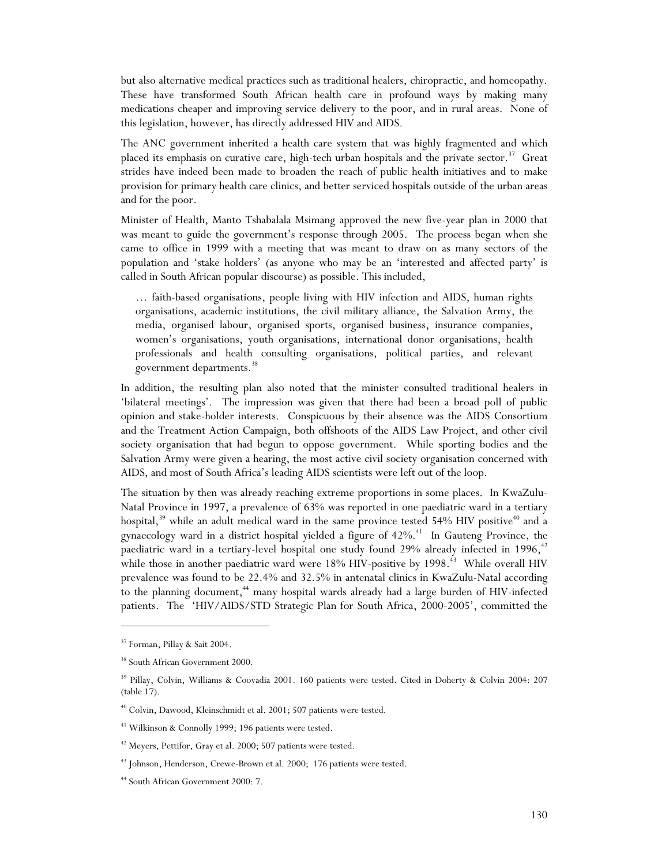but also alternative medical practices such as traditional healers, chiropractic, and homeopathy. These have transformed South African health care in profound ways by making many medications cheaper and improving service delivery to the poor, and in rural areas. None of this legislation, however, has directly addressed HIV and AIDS.

The ANC government inherited a health care system that was highly fragmented and which placed its emphasis on curative care, high-tech urban hospitals and the private sector.<sup>37</sup> Great strides have indeed been made to broaden the reach of public health initiatives and to make provision for primary health care clinics, and better serviced hospitals outside of the urban areas and for the poor.

Minister of Health, Manto Tshabalala Msimang approved the new five-year plan in 2000 that was meant to guide the government's response through 2005. The process began when she came to office in 1999 with a meeting that was meant to draw on as many sectors of the population and 'stake holders' (as anyone who may be an 'interested and affected party' is called in South African popular discourse) as possible. This included,

… faith-based organisations, people living with HIV infection and AIDS, human rights organisations, academic institutions, the civil military alliance, the Salvation Army, the media, organised labour, organised sports, organised business, insurance companies, women's organisations, youth organisations, international donor organisations, health professionals and health consulting organisations, political parties, and relevant government departments.<sup>38</sup>

In addition, the resulting plan also noted that the minister consulted traditional healers in 'bilateral meetings'. The impression was given that there had been a broad poll of public opinion and stake-holder interests. Conspicuous by their absence was the AIDS Consortium and the Treatment Action Campaign, both offshoots of the AIDS Law Project, and other civil society organisation that had begun to oppose government. While sporting bodies and the Salvation Army were given a hearing, the most active civil society organisation concerned with AIDS, and most of South Africa's leading AIDS scientists were left out of the loop.

The situation by then was already reaching extreme proportions in some places. In KwaZulu-Natal Province in 1997, a prevalence of 63% was reported in one paediatric ward in a tertiary hospital, $39$  while an adult medical ward in the same province tested 54% HIV positive<sup>40</sup> and a gynaecology ward in a district hospital yielded a figure of  $42\%$ .<sup>41</sup> In Gauteng Province, the paediatric ward in a tertiary-level hospital one study found  $29\%$  already infected in  $1996$ ,<sup>42</sup> while those in another paediatric ward were  $18\%$  HIV-positive by  $1998.^{43}$  While overall HIV prevalence was found to be 22.4% and 32.5% in antenatal clinics in KwaZulu-Natal according to the planning document,<sup>44</sup> many hospital wards already had a large burden of HIV-infected patients. The 'HIV/AIDS/STD Strategic Plan for South Africa, 2000-2005', committed the

<sup>37</sup> Forman, Pillay & Sait 2004.

<sup>38</sup> South African Government 2000.

<sup>&</sup>lt;sup>39</sup> Pillay, Colvin, Williams & Coovadia 2001. 160 patients were tested. Cited in Doherty & Colvin 2004: 207 (table 17).

<sup>40</sup> Colvin, Dawood, Kleinschmidt et al. 2001; 507 patients were tested.

<sup>41</sup> Wilkinson & Connolly 1999; 196 patients were tested.

<sup>42</sup> Meyers, Pettifor, Gray et al. 2000; 507 patients were tested.

<sup>&</sup>lt;sup>43</sup> Johnson, Henderson, Crewe-Brown et al. 2000; 176 patients were tested.

<sup>44</sup> South African Government 2000: 7.